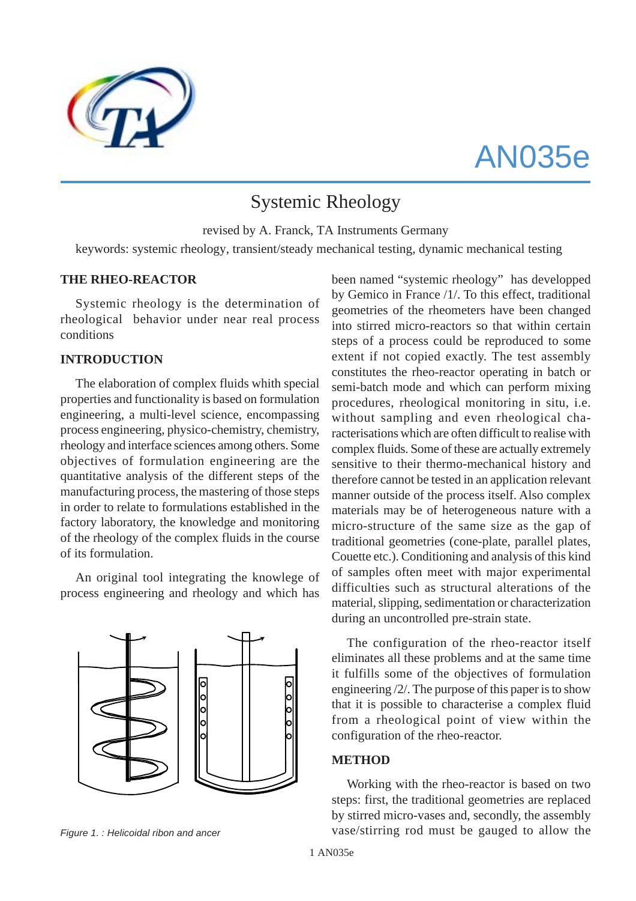

# AN035e

# Systemic Rheology

revised by A. Franck, TA Instruments Germany keywords: systemic rheology, transient/steady mechanical testing, dynamic mechanical testing

#### **THE RHEO-REACTOR**

Systemic rheology is the determination of rheological behavior under near real process conditions

#### **INTRODUCTION**

The elaboration of complex fluids whith special properties and functionality is based on formulation engineering, a multi-level science, encompassing process engineering, physico-chemistry, chemistry, rheology and interface sciences among others. Some objectives of formulation engineering are the quantitative analysis of the different steps of the manufacturing process, the mastering of those steps in order to relate to formulations established in the factory laboratory, the knowledge and monitoring of the rheology of the complex fluids in the course of its formulation.

An original tool integrating the knowlege of process engineering and rheology and which has



been named "systemic rheology" has developped by Gemico in France /1/. To this effect, traditional geometries of the rheometers have been changed into stirred micro-reactors so that within certain steps of a process could be reproduced to some extent if not copied exactly. The test assembly constitutes the rheo-reactor operating in batch or semi-batch mode and which can perform mixing procedures, rheological monitoring in situ, i.e. without sampling and even rheological characterisations which are often difficult to realise with complex fluids. Some of these are actually extremely sensitive to their thermo-mechanical history and therefore cannot be tested in an application relevant manner outside of the process itself. Also complex materials may be of heterogeneous nature with a micro-structure of the same size as the gap of traditional geometries (cone-plate, parallel plates, Couette etc.). Conditioning and analysis of this kind of samples often meet with major experimental difficulties such as structural alterations of the material, slipping, sedimentation or characterization during an uncontrolled pre-strain state.

The configuration of the rheo-reactor itself eliminates all these problems and at the same time it fulfills some of the objectives of formulation engineering /2/. The purpose of this paper is to show that it is possible to characterise a complex fluid from a rheological point of view within the configuration of the rheo-reactor.

#### **METHOD**

Working with the rheo-reactor is based on two steps: first, the traditional geometries are replaced by stirred micro-vases and, secondly, the assembly *Figure 1. : Helicoidal ribon and ancer* vase/stirring rod must be gauged to allow the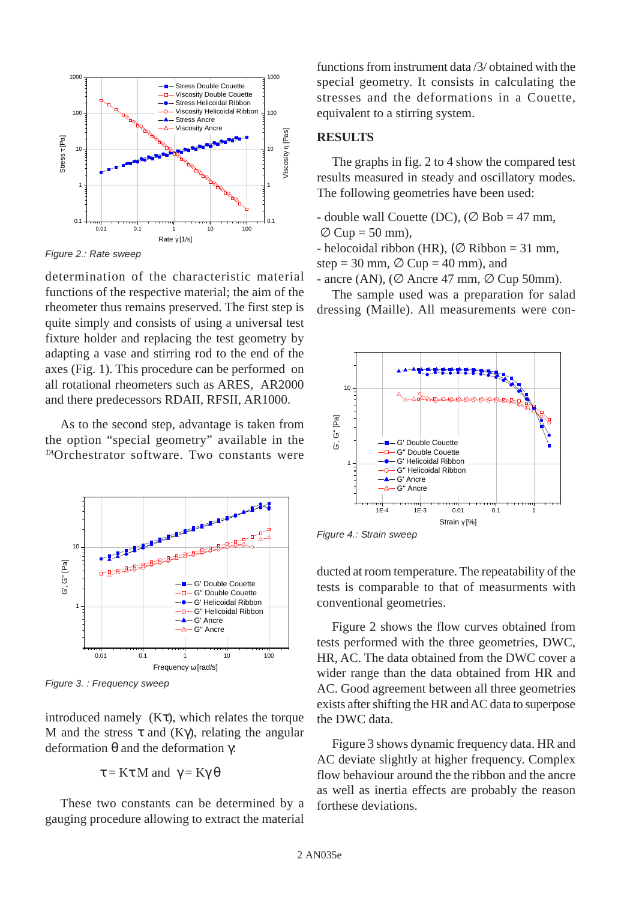

*Figure 2.: Rate sweep*

determination of the characteristic material functions of the respective material; the aim of the rheometer thus remains preserved. The first step is quite simply and consists of using a universal test fixture holder and replacing the test geometry by adapting a vase and stirring rod to the end of the axes (Fig. 1). This procedure can be performed on all rotational rheometers such as ARES, AR2000 and there predecessors RDAII, RFSII, AR1000.

As to the second step, advantage is taken from the option "special geometry" available in the *TA*Orchestrator software. Two constants were



*Figure 3. : Frequency sweep*

introduced namely  $(K\tau)$ , which relates the torque M and the stress  $\tau$  and (Kγ), relating the angular deformation θ and the deformation γ:

$$
\tau = K\tau M \text{ and } \gamma = K\gamma \theta
$$

These two constants can be determined by a gauging procedure allowing to extract the material

functions from instrument data /3/ obtained with the special geometry. It consists in calculating the stresses and the deformations in a Couette, equivalent to a stirring system.

## **RESULTS**

The graphs in fig. 2 to 4 show the compared test results measured in steady and oscillatory modes. The following geometries have been used:

- double wall Couette (DC), ( $\varnothing$  Bob = 47 mm,  $\varnothing$  Cup = 50 mm).

- helocoidal ribbon (HR), ( $\varnothing$  Ribbon = 31 mm, step = 30 mm,  $\varnothing$  Cup = 40 mm), and

- ancre (AN), ( $\varnothing$  Ancre 47 mm,  $\varnothing$  Cup 50mm). The sample used was a preparation for salad

dressing (Maille). All measurements were con-



*Figure 4.: Strain sweep*

ducted at room temperature. The repeatability of the tests is comparable to that of measurments with conventional geometries.

Figure 2 shows the flow curves obtained from tests performed with the three geometries, DWC, HR, AC. The data obtained from the DWC cover a wider range than the data obtained from HR and AC. Good agreement between all three geometries exists after shifting the HR and AC data to superpose the DWC data.

Figure 3 shows dynamic frequency data. HR and AC deviate slightly at higher frequency. Complex flow behaviour around the the ribbon and the ancre as well as inertia effects are probably the reason forthese deviations.